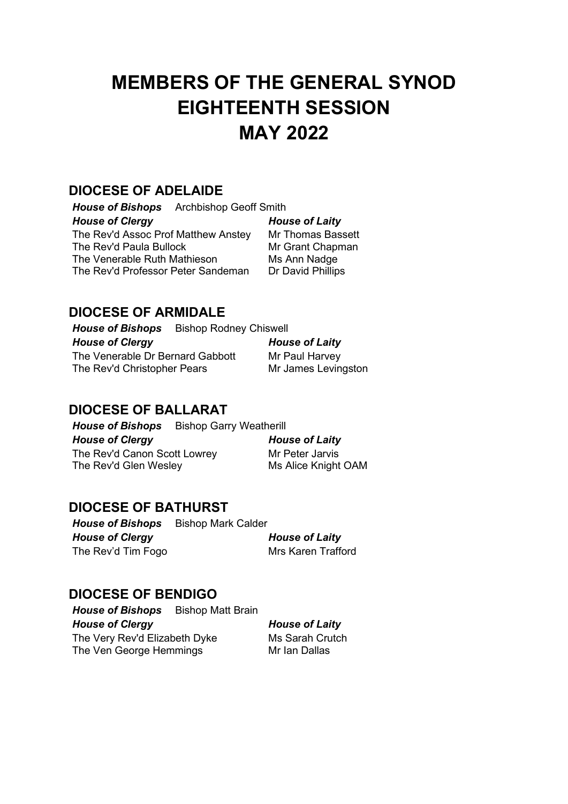# **MEMBERS OF THE GENERAL SYNOD EIGHTEENTH SESSION MAY 2022**

## **DIOCESE OF ADELAIDE**

*House of Bishops* Archbishop Geoff Smith *House of Clergy House of Laity* The Rev'd Assoc Prof Matthew Anstey Mr Thomas Bassett The Rev'd Paula Bullock Mr Grant Chapman The Venerable Ruth Mathieson Ms Ann Nadge The Rev'd Professor Peter Sandeman Dr David Phillips

## **DIOCESE OF ARMIDALE**

*House of Bishops* Bishop Rodney Chiswell *House of Clergy House of Laity* The Venerable Dr Bernard Gabbott Mr Paul Harvey The Rev'd Christopher Pears Mr James Levingston

## **DIOCESE OF BALLARAT**

**House of Bishops** Bishop Garry Weatherill *House of Clergy House of Laity* The Rev'd Canon Scott Lowrey Mr Peter Jarvis The Rev'd Glen Wesley Ms Alice Knight OAM

## **DIOCESE OF BATHURST**

*House of Bishops* Bishop Mark Calder *House of Clergy House of Laity* The Rev'd Tim Fogo Mrs Karen Trafford

## **DIOCESE OF BENDIGO**

**House of Bishops** Bishop Matt Brain *House of Clergy House of Laity* The Very Rev'd Elizabeth Dyke Ms Sarah Crutch<br>The Ven George Hemmings Mr Jan Dallas The Ven George Hemmings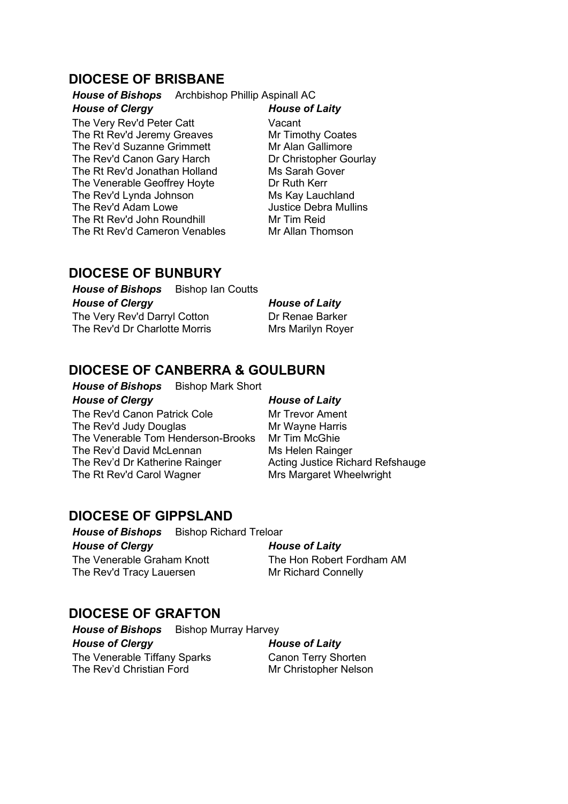## **DIOCESE OF BRISBANE**

*House of Bishops* Archbishop Phillip Aspinall AC

### *House of Clergy House of Laity*

The Very Rev'd Peter Catt **Vacant** The Rt Rev'd Jeremy Greaves Mr Timothy Coates The Rev'd Suzanne Grimmett Mr Alan Gallimore The Rev'd Canon Gary Harch Dr Christopher Gourlay The Rt Rev'd Jonathan Holland<br>
The Venerable Geoffrev Hovte<br>
Dr Ruth Kerr The Venerable Geoffrey Hoyte The Rev'd Lynda Johnson Ms Kay Lauchland The Rev'd Adam Lowe Justice Debra Mullins The Rt Rev'd John Roundhill **Mr Tim Reid**<br>The Rt Rev'd Cameron Venables Mr Allan Thomson The Rt Rev'd Cameron Venables

## **DIOCESE OF BUNBURY**

**House of Bishops** Bishop Ian Coutts *House of Clergy House of Laity* The Very Rev'd Darryl Cotton Dr Renae Barker The Rev'd Dr Charlotte Morris Mrs Marilyn Royer

## **DIOCESE OF CANBERRA & GOULBURN**

**House of Bishops** Bishop Mark Short *House of Clergy House of Laity* The Rev'd Canon Patrick Cole Mr Trevor Ament The Rev'd Judy Douglas Mr Wayne Harris<br>The Venerable Tom Henderson-Brooks Mr Tim McGhie The Venerable Tom Henderson-Brooks The Rev'd David McLennan Ms Helen Rainger The Rev'd Dr Katherine Rainger Acting Justice Richard Refshauge The Rt Rev'd Carol Wagner Mrs Margaret Wheelwright

## **DIOCESE OF GIPPSLAND**

*House of Bishops* Bishop Richard Treloar *House of Clergy House of Laity* The Venerable Graham Knott The Hon Robert Fordham AM The Rev'd Tracy Lauersen Mr Richard Connelly

## **DIOCESE OF GRAFTON**

*House of Bishops* Bishop Murray Harvey *House of Clergy House of Laity* The Venerable Tiffany Sparks Canon Terry Shorten The Rev'd Christian Ford Mr Christopher Nelson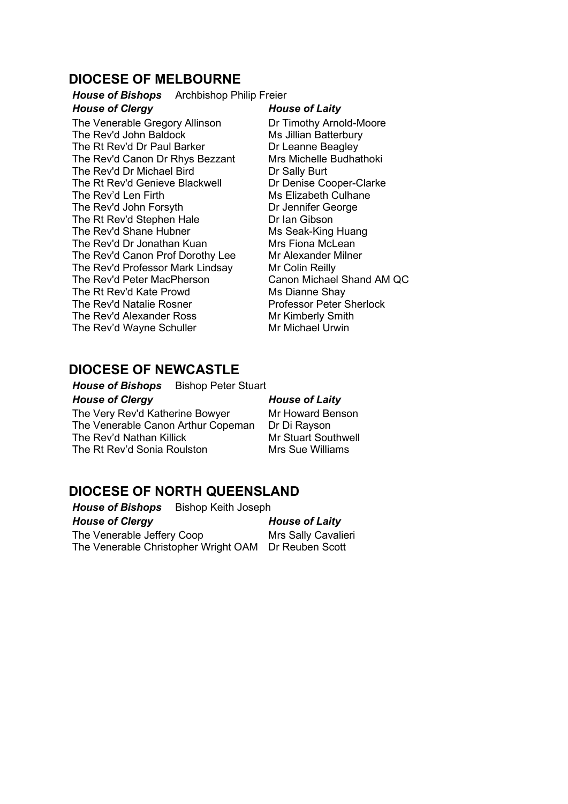## **DIOCESE OF MELBOURNE**

*House of Bishops* Archbishop Philip Freier

### *House of Clergy House of Laity*

The Venerable Gregory Allinson Dr Timothy Arnold-Moore The Rev'd John Baldock Ms Jillian Batterbury The Rt Rev'd Dr Paul Barker Dr Leanne Beagley The Rev'd Canon Dr Rhys Bezzant Mrs Michelle Budhathoki The Rev'd Dr Michael Bird Dr Sally Burt The Rt Rev'd Genieve Blackwell The Rev'd Len Firth Ms Elizabeth Culhane The Rev'd John Forsyth Dr Jennifer George The Rt Rev'd Stephen Hale **Dr Ian Gibson**<br>
The Rev'd Shane Hubner **Number** Ms Seak-King Huang The Rev'd Shane Hubner The Rev'd Dr Jonathan Kuan Mrs Fiona McLean The Rev'd Canon Prof Dorothy Lee Mr Alexander Milner The Rev'd Professor Mark Lindsay Mr Colin Reilly The Rev'd Peter MacPherson Canon Michael Shand AM QC The Rt Rev'd Kate Prowd<br>
The Rev'd Natalie Rosner<br>
Ms Dianne Shay<br>
Professor Peter Sherlock The Rev'd Natalie Rosner The Rev'd Alexander Ross<br>
The Rev'd Wavne Schuller<br>
Mr Michael Urwin The Rev'd Wayne Schuller

## **DIOCESE OF NEWCASTLE**

### *House of Bishops* Bishop Peter Stuart

*House of Clergy House of Laity*

The Very Rev'd Katherine Bowyer Mr Howard Benson<br>The Venerable Canon Arthur Copeman Dr Di Ravson The Venerable Canon Arthur Copeman The Rev'd Nathan Killick Mr Stuart Southwell The Rt Rev'd Sonia Roulston Mrs Sue Williams

## **DIOCESE OF NORTH QUEENSLAND**

*House of Bishops* Bishop Keith Joseph *House of Clergy House of Laity* The Venerable Jeffery Coop Mrs Sally Cavalieri

The Venerable Christopher Wright OAM Dr Reuben Scott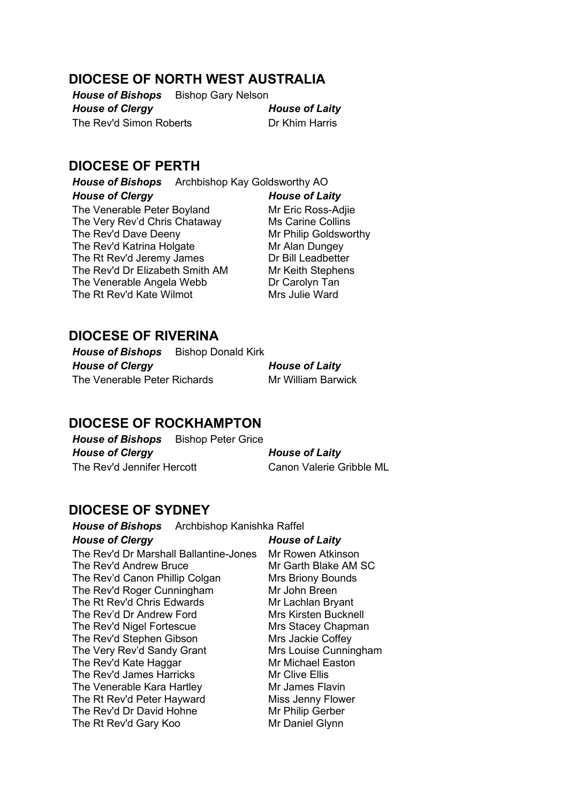## **DIOCESE OF NORTH WEST AUSTRALIA**

*House of Bishops* Bishop Gary Nelson *House of Clergy House of Laity* The Rev'd Simon Roberts **Dr Khim Harris** 

## **DIOCESE OF PERTH**

*House of Bishops* Archbishop Kay Goldsworthy AO

*House of Clergy House of Laity* The Venerable Peter Boyland Mr Eric Ross-Adije The Very Rev'd Chris Chataway Ms Carine Collins The Rev'd Dave Deeny Mr Philip Goldsworthy The Rev'd Katrina Holgate Mr Alan Dungey The Rt Rev'd Jeremy James Dr Bill Leadbetter The Rev'd Dr Elizabeth Smith AM Mr Keith Stephens The Venerable Angela Webb **Dr Carolyn Tan**<br>
The Rt Rev'd Kate Wilmot **Numer Mrs** Julie Ward The Rt Rev'd Kate Wilmot

## **DIOCESE OF RIVERINA**

**House of Bishops** Bishop Donald Kirk *House of Clergy House of Laity* The Venerable Peter Richards Mr William Barwick

## **DIOCESE OF ROCKHAMPTON**

*House of Bishops* Bishop Peter Grice *House of Clergy House of Laity* The Rev'd Jennifer Hercott Canon Valerie Gribble ML

## **DIOCESE OF SYDNEY**

*House of Bishops* Archbishop Kanishka Raffel *House of Clergy House of Laity* The Rev'd Dr Marshall Ballantine-Jones Mr Rowen Atkinson The Rev'd Andrew Bruce Mr Garth Blake AM SC The Rev'd Canon Phillip Colgan Mrs Briony Bounds The Rev'd Roger Cunningham Mr John Breen The Rt Rev'd Chris Edwards<br>
The Rev'd Dr Andrew Ford Mrs Kirsten Bucknell The Rev'd Dr Andrew Ford The Rev'd Nigel Fortescue Mrs Stacey Chapman The Rev'd Stephen Gibson Mrs Jackie Coffey The Very Rev'd Sandy Grant Mrs Louise Cunningham<br>The Rev'd Kate Haggar Mr Michael Easton The Rev'd Kate Haggar The Rev'd James Harricks Mr Clive Ellis The Venerable Kara Hartley Mr James Flavin The Rt Rev'd Peter Hayward<br>
The Rev'd Dr David Hohne Mr Philip Gerber The Rev'd Dr David Hohne The Rt Rev'd Gary Koo Mr Daniel Glynn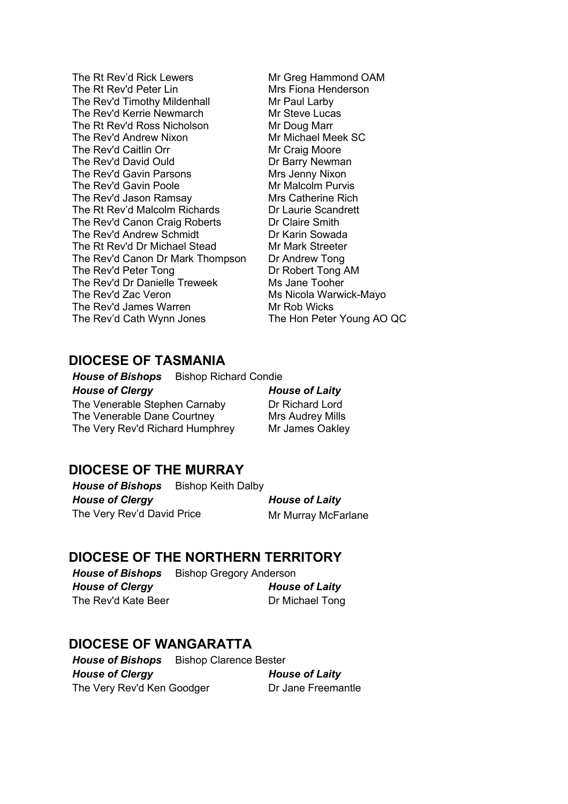- The Rt Rev'd Rick Lewers Mr Greg Hammond OAM<br>The Rt Rev'd Peter Lin Mrs Fiona Henderson The Rt Rev'd Peter Lin<br>
The Rev'd Timothy Mildenhall
Mr Paul Larby The Rev'd Timothy Mildenhall The Rev'd Kerrie Newmarch Mr Steve Lucas The Rt Rev'd Ross Nicholson Mr Doug Marr The Rev'd Andrew Nixon Mr Michael Meek SC The Rev'd Caitlin Orr Mr Craig Moore The Rev'd David Ould Dr Barry Newman The Rev'd Gavin Parsons<br>
The Rev'd Gavin Poole Mr Malcolm Purvis The Rev'd Gavin Poole The Rev'd Jason Ramsay Mrs Catherine Rich The Rt Rev'd Malcolm Richards Dr Laurie Scandrett The Rev'd Canon Craig Roberts **Dr Claire Smith Dr Rev'd Andrew Schmidt** Dr Karin Sowada The Rev'd Andrew Schmidt<br>
The Rt Rev'd Dr Michael Stead<br>
Mr Mark Streeter The Rt Rev'd Dr Michael Stead The Rev'd Canon Dr Mark Thompson Dr Andrew Tong The Rev'd Peter Tong **Dr Robert Tong AM** The Rev'd Dr Danielle Treweek Ms Jane Tooher The Rev'd Zac Veron Ms Nicola Warwick-Mayo The Rev'd James Warren Mr Rob Wicks The Rev'd Cath Wynn Jones The Hon Peter Young AO QC
- 

## **DIOCESE OF TASMANIA**

*House of Bishops* Bishop Richard Condie *House of Clergy House of Laity* The Venerable Stephen Carnaby Dr Richard Lord The Venerable Dane Courtney Mrs Audrey Mills The Very Rev'd Richard Humphrey Mr James Oakley

## **DIOCESE OF THE MURRAY**

**House of Bishops** Bishop Keith Dalby *House of Clergy House of Laity* The Very Rev'd David Price Mr Murray McFarlane

## **DIOCESE OF THE NORTHERN TERRITORY**

**House of Bishops** Bishop Gregory Anderson *House of Clergy House of Laity* The Rev'd Kate Beer **Dr Michael Tong** 

## **DIOCESE OF WANGARATTA**

*House of Bishops* Bishop Clarence Bester *House of Clergy House of Laity* The Very Rev'd Ken Goodger Dr Jane Freemantle